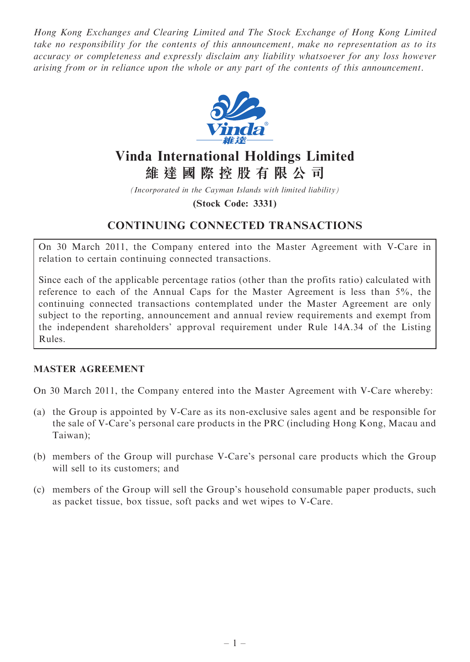Hong Kong Exchanges and Clearing Limited and The Stock Exchange of Hong Kong Limited take no responsibility for the contents of this announcement, make no representation as to its accuracy or completeness and expressly disclaim any liability whatsoever for any loss however arising from or in reliance upon the whole or any part of the contents of this announcement.



# Vinda International Holdings Limited 維 達 國 際 控 股 有 限 公 司

(Incorporated in the Cayman Islands with limited liability)

(Stock Code: 3331)

# CONTINUING CONNECTED TRANSACTIONS

On 30 March 2011, the Company entered into the Master Agreement with V-Care in relation to certain continuing connected transactions.

Since each of the applicable percentage ratios (other than the profits ratio) calculated with reference to each of the Annual Caps for the Master Agreement is less than 5%, the continuing connected transactions contemplated under the Master Agreement are only subject to the reporting, announcement and annual review requirements and exempt from the independent shareholders' approval requirement under Rule 14A.34 of the Listing Rules.

#### MASTER AGREEMENT

On 30 March 2011, the Company entered into the Master Agreement with V-Care whereby:

- (a) the Group is appointed by V-Care as its non-exclusive sales agent and be responsible for the sale of V-Care's personal care products in the PRC (including Hong Kong, Macau and Taiwan);
- (b) members of the Group will purchase V-Care's personal care products which the Group will sell to its customers; and
- (c) members of the Group will sell the Group's household consumable paper products, such as packet tissue, box tissue, soft packs and wet wipes to V-Care.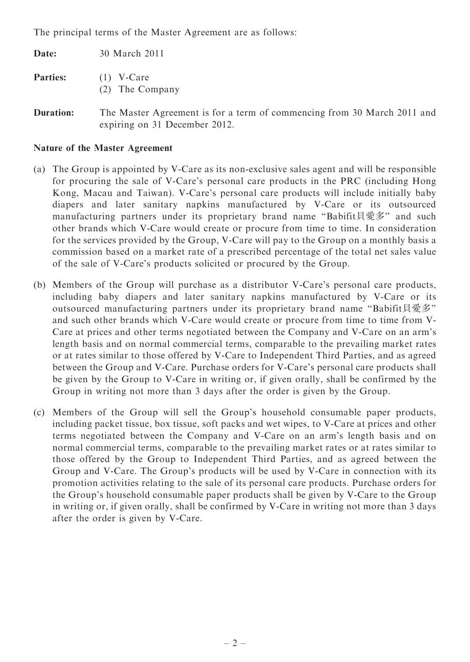The principal terms of the Master Agreement are as follows:

| Date:           | 30 March 2011                   |
|-----------------|---------------------------------|
| <b>Parties:</b> | $(1)$ V-Care<br>(2) The Company |

Duration: The Master Agreement is for a term of commencing from 30 March 2011 and expiring on 31 December 2012.

#### Nature of the Master Agreement

- (a) The Group is appointed by V-Care as its non-exclusive sales agent and will be responsible for procuring the sale of V-Care's personal care products in the PRC (including Hong Kong, Macau and Taiwan). V-Care's personal care products will include initially baby diapers and later sanitary napkins manufactured by V-Care or its outsourced manufacturing partners under its proprietary brand name "Babifit貝愛多" and such other brands which V-Care would create or procure from time to time. In consideration for the services provided by the Group, V-Care will pay to the Group on a monthly basis a commission based on a market rate of a prescribed percentage of the total net sales value of the sale of V-Care's products solicited or procured by the Group.
- (b) Members of the Group will purchase as a distributor V-Care's personal care products, including baby diapers and later sanitary napkins manufactured by V-Care or its outsourced manufacturing partners under its proprietary brand name "Babifit貝愛多" and such other brands which V-Care would create or procure from time to time from V-Care at prices and other terms negotiated between the Company and V-Care on an arm's length basis and on normal commercial terms, comparable to the prevailing market rates or at rates similar to those offered by V-Care to Independent Third Parties, and as agreed between the Group and V-Care. Purchase orders for V-Care's personal care products shall be given by the Group to V-Care in writing or, if given orally, shall be confirmed by the Group in writing not more than 3 days after the order is given by the Group.
- (c) Members of the Group will sell the Group's household consumable paper products, including packet tissue, box tissue, soft packs and wet wipes, to V-Care at prices and other terms negotiated between the Company and V-Care on an arm's length basis and on normal commercial terms, comparable to the prevailing market rates or at rates similar to those offered by the Group to Independent Third Parties, and as agreed between the Group and V-Care. The Group's products will be used by V-Care in connection with its promotion activities relating to the sale of its personal care products. Purchase orders for the Group's household consumable paper products shall be given by V-Care to the Group in writing or, if given orally, shall be confirmed by V-Care in writing not more than 3 days after the order is given by V-Care.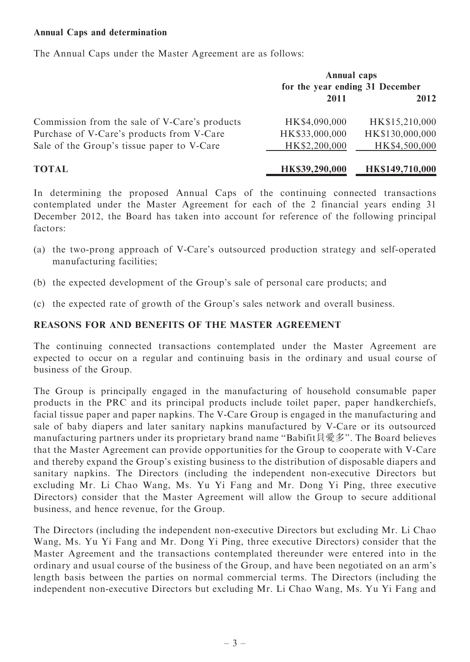#### Annual Caps and determination

The Annual Caps under the Master Agreement are as follows:

|                                               | <b>Annual caps</b><br>for the year ending 31 December |                 |
|-----------------------------------------------|-------------------------------------------------------|-----------------|
|                                               | 2011                                                  | 2012            |
| Commission from the sale of V-Care's products | HK\$4,090,000                                         | HK\$15,210,000  |
| Purchase of V-Care's products from V-Care     | HK\$33,000,000                                        | HK\$130,000,000 |
| Sale of the Group's tissue paper to V-Care    | HK\$2,200,000                                         | HK\$4,500,000   |
| <b>TOTAL</b>                                  | HK\$39,290,000                                        | HK\$149,710,000 |

In determining the proposed Annual Caps of the continuing connected transactions contemplated under the Master Agreement for each of the 2 financial years ending 31 December 2012, the Board has taken into account for reference of the following principal factors:

- (a) the two-prong approach of V-Care's outsourced production strategy and self-operated manufacturing facilities;
- (b) the expected development of the Group's sale of personal care products; and
- (c) the expected rate of growth of the Group's sales network and overall business.

#### REASONS FOR AND BENEFITS OF THE MASTER AGREEMENT

The continuing connected transactions contemplated under the Master Agreement are expected to occur on a regular and continuing basis in the ordinary and usual course of business of the Group.

The Group is principally engaged in the manufacturing of household consumable paper products in the PRC and its principal products include toilet paper, paper handkerchiefs, facial tissue paper and paper napkins. The V-Care Group is engaged in the manufacturing and sale of baby diapers and later sanitary napkins manufactured by V-Care or its outsourced manufacturing partners under its proprietary brand name ''Babifit貝愛多''. The Board believes that the Master Agreement can provide opportunities for the Group to cooperate with V-Care and thereby expand the Group's existing business to the distribution of disposable diapers and sanitary napkins. The Directors (including the independent non-executive Directors but excluding Mr. Li Chao Wang, Ms. Yu Yi Fang and Mr. Dong Yi Ping, three executive Directors) consider that the Master Agreement will allow the Group to secure additional business, and hence revenue, for the Group.

The Directors (including the independent non-executive Directors but excluding Mr. Li Chao Wang, Ms. Yu Yi Fang and Mr. Dong Yi Ping, three executive Directors) consider that the Master Agreement and the transactions contemplated thereunder were entered into in the ordinary and usual course of the business of the Group, and have been negotiated on an arm's length basis between the parties on normal commercial terms. The Directors (including the independent non-executive Directors but excluding Mr. Li Chao Wang, Ms. Yu Yi Fang and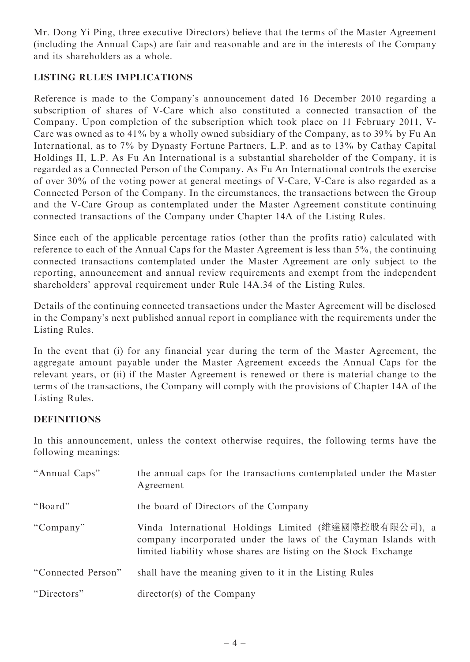Mr. Dong Yi Ping, three executive Directors) believe that the terms of the Master Agreement (including the Annual Caps) are fair and reasonable and are in the interests of the Company and its shareholders as a whole.

## LISTING RULES IMPLICATIONS

Reference is made to the Company's announcement dated 16 December 2010 regarding a subscription of shares of V-Care which also constituted a connected transaction of the Company. Upon completion of the subscription which took place on 11 February 2011, V-Care was owned as to 41% by a wholly owned subsidiary of the Company, as to 39% by Fu An International, as to 7% by Dynasty Fortune Partners, L.P. and as to 13% by Cathay Capital Holdings II, L.P. As Fu An International is a substantial shareholder of the Company, it is regarded as a Connected Person of the Company. As Fu An International controls the exercise of over 30% of the voting power at general meetings of V-Care, V-Care is also regarded as a Connected Person of the Company. In the circumstances, the transactions between the Group and the V-Care Group as contemplated under the Master Agreement constitute continuing connected transactions of the Company under Chapter 14A of the Listing Rules.

Since each of the applicable percentage ratios (other than the profits ratio) calculated with reference to each of the Annual Caps for the Master Agreement is less than 5%, the continuing connected transactions contemplated under the Master Agreement are only subject to the reporting, announcement and annual review requirements and exempt from the independent shareholders' approval requirement under Rule 14A.34 of the Listing Rules.

Details of the continuing connected transactions under the Master Agreement will be disclosed in the Company's next published annual report in compliance with the requirements under the Listing Rules.

In the event that (i) for any financial year during the term of the Master Agreement, the aggregate amount payable under the Master Agreement exceeds the Annual Caps for the relevant years, or (ii) if the Master Agreement is renewed or there is material change to the terms of the transactions, the Company will comply with the provisions of Chapter 14A of the Listing Rules.

## DEFINITIONS

In this announcement, unless the context otherwise requires, the following terms have the following meanings:

| "Annual Caps"      | the annual caps for the transactions contemplated under the Master<br>Agreement                                                                                                            |
|--------------------|--------------------------------------------------------------------------------------------------------------------------------------------------------------------------------------------|
| "Board"            | the board of Directors of the Company                                                                                                                                                      |
| "Company"          | Vinda International Holdings Limited (維達國際控股有限公司), a<br>company incorporated under the laws of the Cayman Islands with<br>limited liability whose shares are listing on the Stock Exchange |
| "Connected Person" | shall have the meaning given to it in the Listing Rules                                                                                                                                    |
| "Directors"        | $\text{directory}(s)$ of the Company                                                                                                                                                       |